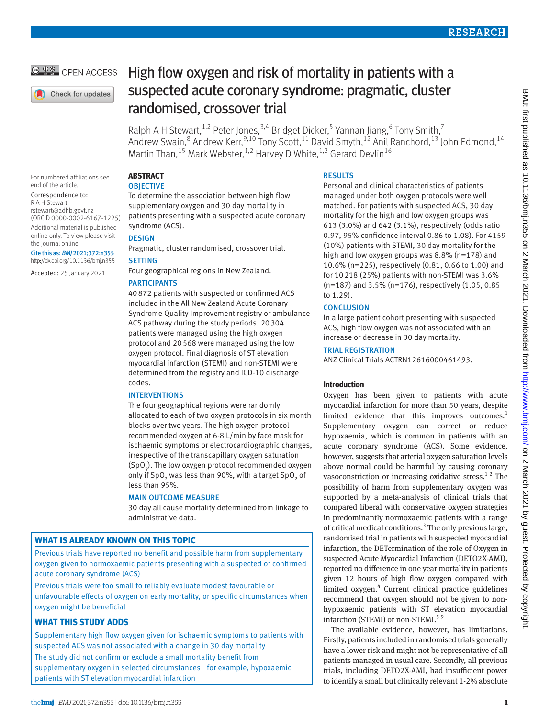**@ 00 OPEN ACCESS** 

Check for updates

# High flow oxygen and risk of mortality in patients with a suspected acute coronary syndrome: pragmatic, cluster randomised, crossover trial

Ralph A H Stewart,<sup>1,2</sup> Peter Jones,<sup>3,4</sup> Bridget Dicker,<sup>5</sup> Yannan Jiang,<sup>6</sup> Tony Smith,<sup>7</sup> Andrew Swain,<sup>8</sup> Andrew Kerr,<sup>9,10</sup> Tony Scott,<sup>11</sup> David Smyth,<sup>12</sup> Anil Ranchord,<sup>13</sup> John Edmond,<sup>14</sup> Martin Than,<sup>15</sup> Mark Webster,<sup>1,2</sup> Harvey D White,<sup>1,2</sup> Gerard Devlin<sup>16</sup>

For numbered affiliations see end of the article.

Correspondence to: R A H Stewart [rstewart@adhb.govt.nz](mailto:rstewart@adhb.govt.nz) (ORCID [0000-0002-6167-1225](https://orcid.org/0000-0002-6167-1225)) Additional material is published online only. To view please visit the journal online.

Cite this as: *BMJ* 2021;372:n355 http://dx.doi.org/10.1136/bmj.n355

Accepted: 25 January 2021

# **ABSTRACT**

**OBIECTIVE** 

To determine the association between high flow supplementary oxygen and 30 day mortality in patients presenting with a suspected acute coronary syndrome (ACS).

DESIGN

Pragmatic, cluster randomised, crossover trial.

## **SETTING**

Four geographical regions in New Zealand.

## PARTICIPANTS

40872 patients with suspected or confirmed ACS included in the All New Zealand Acute Coronary Syndrome Quality Improvement registry or ambulance ACS pathway during the study periods. 20304 patients were managed using the high oxygen protocol and 20568 were managed using the low oxygen protocol. Final diagnosis of ST elevation myocardial infarction (STEMI) and non-STEMI were determined from the registry and ICD-10 discharge codes.

## INTERVENTIONS

The four geographical regions were randomly allocated to each of two oxygen protocols in six month blocks over two years. The high oxygen protocol recommended oxygen at 6-8 L/min by face mask for ischaemic symptoms or electrocardiographic changes, irrespective of the transcapillary oxygen saturation  $(SpO<sub>2</sub>)$ . The low oxygen protocol recommended oxygen only if SpO<sub>2</sub> was less than 90%, with a target SpO<sub>2</sub> of less than 95%.

## MAIN OUTCOME MEASURE

30 day all cause mortality determined from linkage to administrative data.

# **WHAT IS ALREADY KNOWN ON THIS TOPIC**

Previous trials have reported no benefit and possible harm from supplementary oxygen given to normoxaemic patients presenting with a suspected or confirmed acute coronary syndrome (ACS)

Previous trials were too small to reliably evaluate modest favourable or unfavourable effects of oxygen on early mortality, or specific circumstances when oxygen might be beneficial

## **WHAT THIS STUDY ADDS**

Supplementary high flow oxygen given for ischaemic symptoms to patients with suspected ACS was not associated with a change in 30 day mortality The study did not confirm or exclude a small mortality benefit from supplementary oxygen in selected circumstances—for example, hypoxaemic patients with ST elevation myocardial infarction

## **RESULTS**

Personal and clinical characteristics of patients managed under both oxygen protocols were well matched. For patients with suspected ACS, 30 day mortality for the high and low oxygen groups was 613 (3.0%) and 642 (3.1%), respectively (odds ratio 0.97, 95% confidence interval 0.86 to 1.08). For 4159 (10%) patients with STEMI, 30 day mortality for the high and low oxygen groups was 8.8% (n=178) and 10.6% (n=225), respectively (0.81, 0.66 to 1.00) and for 10218 (25%) patients with non-STEMI was 3.6% (n=187) and 3.5% (n=176), respectively (1.05, 0.85 to 1.29).

## **CONCLUSION**

In a large patient cohort presenting with suspected ACS, high flow oxygen was not associated with an increase or decrease in 30 day mortality.

## TRIAL REGISTRATION

ANZ Clinical Trials ACTRN12616000461493.

## **Introduction**

Oxygen has been given to patients with acute myocardial infarction for more than 50 years, despite limited evidence that this improves outcomes.<sup>1</sup> Supplementary oxygen can correct or reduce hypoxaemia, which is common in patients with an acute coronary syndrome (ACS). Some evidence, however, suggests that arterial oxygen saturation levels above normal could be harmful by causing coronary vasoconstriction or increasing oxidative stress.<sup>12</sup> The possibility of harm from supplementary oxygen was supported by a meta-analysis of clinical trials that compared liberal with conservative oxygen strategies in predominantly normoxaemic patients with a range of critical medical conditions.<sup>3</sup> The only previous large, randomised trial in patients with suspected myocardial infarction, the DETermination of the role of Oxygen in suspected Acute Myocardial Infarction (DETO2X-AMI), reported no difference in one year mortality in patients given 12 hours of high flow oxygen compared with limited oxygen.<sup>4</sup> Current clinical practice guidelines recommend that oxygen should not be given to nonhypoxaemic patients with ST elevation myocardial infarction (STEMI) or non-STEMI.<sup>5-9</sup>

The available evidence, however, has limitations. Firstly, patients included in randomised trials generally have a lower risk and might not be representative of all patients managed in usual care. Secondly, all previous trials, including DETO2X-AMI, had insufficient power to identify a small but clinically relevant 1-2% absolute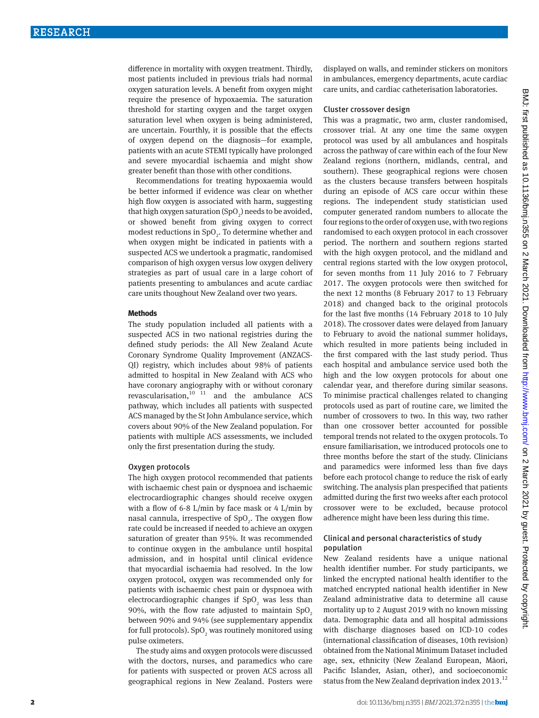difference in mortality with oxygen treatment. Thirdly, most patients included in previous trials had normal oxygen saturation levels. A benefit from oxygen might require the presence of hypoxaemia. The saturation threshold for starting oxygen and the target oxygen saturation level when oxygen is being administered, are uncertain. Fourthly, it is possible that the effects of oxygen depend on the diagnosis—for example, patients with an acute STEMI typically have prolonged and severe myocardial ischaemia and might show greater benefit than those with other conditions.

Recommendations for treating hypoxaemia would be better informed if evidence was clear on whether high flow oxygen is associated with harm, suggesting that high oxygen saturation (SpO<sub>2</sub>) needs to be avoided, or showed benefit from giving oxygen to correct modest reductions in  $SpO<sub>2</sub>$ . To determine whether and when oxygen might be indicated in patients with a suspected ACS we undertook a pragmatic, randomised comparison of high oxygen versus low oxygen delivery strategies as part of usual care in a large cohort of patients presenting to ambulances and acute cardiac care units thoughout New Zealand over two years.

#### **Methods**

The study population included all patients with a suspected ACS in two national registries during the defined study periods: the All New Zealand Acute Coronary Syndrome Quality Improvement (ANZACS-QI) registry, which includes about 98% of patients admitted to hospital in New Zealand with ACS who have coronary angiography with or without coronary revascularisation, $10^{-11}$  and the ambulance ACS pathway, which includes all patients with suspected ACS managed by the St John Ambulance service, which covers about 90% of the New Zealand population. For patients with multiple ACS assessments, we included only the first presentation during the study.

#### Oxygen protocols

The high oxygen protocol recommended that patients with ischaemic chest pain or dyspnoea and ischaemic electrocardiographic changes should receive oxygen with a flow of 6-8 L/min by face mask or 4 L/min by nasal cannula, irrespective of  $SpO<sub>2</sub>$ . The oxygen flow rate could be increased if needed to achieve an oxygen saturation of greater than 95%. It was recommended to continue oxygen in the ambulance until hospital admission, and in hospital until clinical evidence that myocardial ischaemia had resolved. In the low oxygen protocol, oxygen was recommended only for patients with ischaemic chest pain or dyspnoea with electrocardiographic changes if  $SpO<sub>2</sub>$  was less than 90%, with the flow rate adjusted to maintain  $SpO<sub>2</sub>$ between 90% and 94% (see supplementary appendix for full protocols). SpO<sub>2</sub> was routinely monitored using pulse oximeters.

The study aims and oxygen protocols were discussed with the doctors, nurses, and paramedics who care for patients with suspected or proven ACS across all geographical regions in New Zealand. Posters were displayed on walls, and reminder stickers on monitors in ambulances, emergency departments, acute cardiac care units, and cardiac catheterisation laboratories.

#### Cluster crossover design

This was a pragmatic, two arm, cluster randomised, crossover trial. At any one time the same oxygen protocol was used by all ambulances and hospitals across the pathway of care within each of the four New Zealand regions (northern, midlands, central, and southern). These geographical regions were chosen as the clusters because transfers between hospitals during an episode of ACS care occur within these regions. The independent study statistician used computer generated random numbers to allocate the four regions to the order of oxygen use, with two regions randomised to each oxygen protocol in each crossover period. The northern and southern regions started with the high oxygen protocol, and the midland and central regions started with the low oxygen protocol, for seven months from 11 July 2016 to 7 February 2017. The oxygen protocols were then switched for the next 12 months (8 February 2017 to 13 February 2018) and changed back to the original protocols for the last five months (14 February 2018 to 10 July 2018). The crossover dates were delayed from January to February to avoid the national summer holidays, which resulted in more patients being included in the first compared with the last study period. Thus each hospital and ambulance service used both the high and the low oxygen protocols for about one calendar year, and therefore during similar seasons. To minimise practical challenges related to changing protocols used as part of routine care, we limited the number of crossovers to two. In this way, two rather than one crossover better accounted for possible temporal trends not related to the oxygen protocols. To ensure familiarisation, we introduced protocols one to three months before the start of the study. Clinicians and paramedics were informed less than five days before each protocol change to reduce the risk of early switching. The analysis plan prespecified that patients admitted during the first two weeks after each protocol crossover were to be excluded, because protocol adherence might have been less during this time.

## Clinical and personal characteristics of study population

New Zealand residents have a unique national health identifier number. For study participants, we linked the encrypted national health identifier to the matched encrypted national health identifier in New Zealand administrative data to determine all cause mortality up to 2 August 2019 with no known missing data. Demographic data and all hospital admissions with discharge diagnoses based on ICD-10 codes (international classification of diseases, 10th revision) obtained from the National Minimum Dataset included age, sex, ethnicity (New Zealand European, Māori, Pacific Islander, Asian, other), and socioeconomic status from the New Zealand deprivation index 2013.<sup>12</sup>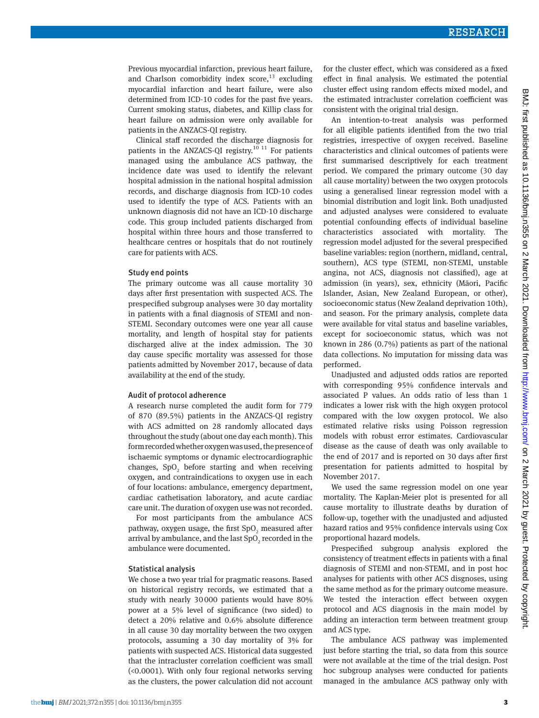Previous myocardial infarction, previous heart failure, and Charlson comorbidity index score, $^{13}$  excluding myocardial infarction and heart failure, were also determined from ICD-10 codes for the past five years. Current smoking status, diabetes, and Killip class for heart failure on admission were only available for patients in the ANZACS-QI registry.

Clinical staff recorded the discharge diagnosis for patients in the ANZACS-QI registry.<sup>10 11</sup> For patients managed using the ambulance ACS pathway, the incidence date was used to identify the relevant hospital admission in the national hospital admission records, and discharge diagnosis from ICD-10 codes used to identify the type of ACS. Patients with an unknown diagnosis did not have an ICD-10 discharge code. This group included patients discharged from hospital within three hours and those transferred to healthcare centres or hospitals that do not routinely care for patients with ACS.

#### Study end points

The primary outcome was all cause mortality 30 days after first presentation with suspected ACS. The prespecified subgroup analyses were 30 day mortality in patients with a final diagnosis of STEMI and non-STEMI. Secondary outcomes were one year all cause mortality, and length of hospital stay for patients discharged alive at the index admission. The 30 day cause specific mortality was assessed for those patients admitted by November 2017, because of data availability at the end of the study.

#### Audit of protocol adherence

A research nurse completed the audit form for 779 of 870 (89.5%) patients in the ANZACS-QI registry with ACS admitted on 28 randomly allocated days throughout the study (about one day each month). This form recorded whether oxygen was used, the presence of ischaemic symptoms or dynamic electrocardiographic changes,  $SpO<sub>2</sub>$  before starting and when receiving oxygen, and contraindications to oxygen use in each of four locations: ambulance, emergency department, cardiac cathetisation laboratory, and acute cardiac care unit. The duration of oxygen use was not recorded.

For most participants from the ambulance ACS pathway, oxygen usage, the first  $SpO_{2}$  measured after arrival by ambulance, and the last  $\mathrm{SpO}_2$  recorded in the ambulance were documented.

#### Statistical analysis

We chose a two year trial for pragmatic reasons. Based on historical registry records, we estimated that a study with nearly 30000 patients would have 80% power at a 5% level of significance (two sided) to detect a 20% relative and 0.6% absolute difference in all cause 30 day mortality between the two oxygen protocols, assuming a 30 day mortality of 3% for patients with suspected ACS. Historical data suggested that the intracluster correlation coefficient was small (<0.0001). With only four regional networks serving as the clusters, the power calculation did not account for the cluster effect, which was considered as a fixed effect in final analysis. We estimated the potential cluster effect using random effects mixed model, and the estimated intracluster correlation coefficient was consistent with the original trial design.

An intention-to-treat analysis was performed for all eligible patients identified from the two trial registries, irrespective of oxygen received. Baseline characteristics and clinical outcomes of patients were first summarised descriptively for each treatment period. We compared the primary outcome (30 day all cause mortality) between the two oxygen protocols using a generalised linear regression model with a binomial distribution and logit link. Both unadjusted and adjusted analyses were considered to evaluate potential confounding effects of individual baseline characteristics associated with mortality. The regression model adjusted for the several prespecified baseline variables: region (northern, midland, central, southern), ACS type (STEMI, non-STEMI, unstable angina, not ACS, diagnosis not classified), age at admission (in years), sex, ethnicity (Māori, Pacific Islander, Asian, New Zealand European, or other), socioeconomic status (New Zealand deprivation 10th), and season. For the primary analysis, complete data were available for vital status and baseline variables, except for socioeconomic status, which was not known in 286 (0.7%) patients as part of the national data collections. No imputation for missing data was performed.

Unadjusted and adjusted odds ratios are reported with corresponding 95% confidence intervals and associated P values. An odds ratio of less than 1 indicates a lower risk with the high oxygen protocol compared with the low oxygen protocol. We also estimated relative risks using Poisson regression models with robust error estimates. Cardiovascular disease as the cause of death was only available to the end of 2017 and is reported on 30 days after first presentation for patients admitted to hospital by November 2017.

We used the same regression model on one year mortality. The Kaplan-Meier plot is presented for all cause mortality to illustrate deaths by duration of follow-up, together with the unadjusted and adjusted hazard ratios and 95% confidence intervals using Cox proportional hazard models.

Prespecified subgroup analysis explored the consistency of treatment effects in patients with a final diagnosis of STEMI and non-STEMI, and in post hoc analyses for patients with other ACS disgnoses, using the same method as for the primary outcome measure. We tested the interaction effect between oxygen protocol and ACS diagnosis in the main model by adding an interaction term between treatment group and ACS type.

The ambulance ACS pathway was implemented just before starting the trial, so data from this source were not available at the time of the trial design. Post hoc subgroup analyses were conducted for patients managed in the ambulance ACS pathway only with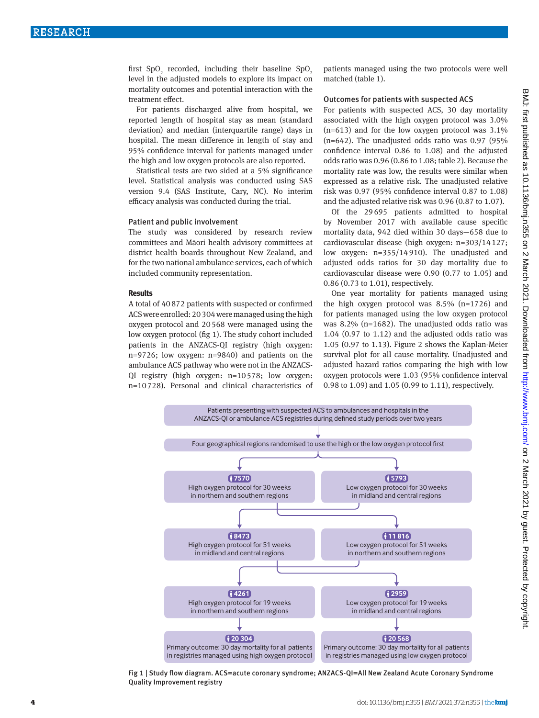first SpO<sub>2</sub> recorded, including their baseline SpO<sub>2</sub> level in the adjusted models to explore its impact on mortality outcomes and potential interaction with the treatment effect.

For patients discharged alive from hospital, we reported length of hospital stay as mean (standard deviation) and median (interquartile range) days in hospital. The mean difference in length of stay and 95% confidence interval for patients managed under the high and low oxygen protocols are also reported.

Statistical tests are two sided at a 5% significance level. Statistical analysis was conducted using SAS version 9.4 (SAS Institute, Cary, NC). No interim efficacy analysis was conducted during the trial.

#### Patient and public involvement

The study was considered by research review committees and Māori health advisory committees at district health boards throughout New Zealand, and for the two national ambulance services, each of which included community representation.

#### **Results**

A total of 40872 patients with suspected or confirmed ACS were enrolled: 20304 were managed using the high oxygen protocol and 20568 were managed using the low oxygen protocol (fig 1). The study cohort included patients in the ANZACS-QI registry (high oxygen: n=9726; low oxygen: n=9840) and patients on the ambulance ACS pathway who were not in the ANZACS-QI registry (high oxygen: n=10578; low oxygen: n=10728). Personal and clinical characteristics of patients managed using the two protocols were well matched (table 1).

#### Outcomes for patients with suspected ACS

For patients with suspected ACS, 30 day mortality associated with the high oxygen protocol was 3.0%  $(n=613)$  and for the low oxygen protocol was  $3.1\%$  $(n=642)$ . The unadjusted odds ratio was 0.97 (95%) confidence interval 0.86 to 1.08) and the adjusted odds ratio was 0.96 (0.86 to 1.08; table 2). Because the mortality rate was low, the results were similar when expressed as a relative risk. The unadjusted relative risk was 0.97 (95% confidence interval 0.87 to 1.08) and the adjusted relative risk was 0.96 (0.87 to 1.07).

Of the 29695 patients admitted to hospital by November 2017 with available cause specific mortality data, 942 died within 30 days—658 due to cardiovascular disease (high oxygen: n=303/14127; low oxygen: n=355/14910). The unadjusted and adjusted odds ratios for 30 day mortality due to cardiovascular disease were 0.90 (0.77 to 1.05) and 0.86 (0.73 to 1.01), respectively.

One year mortality for patients managed using the high oxygen protocol was  $8.5\%$  (n=1726) and for patients managed using the low oxygen protocol was 8.2% (n=1682). The unadjusted odds ratio was 1.04 (0.97 to 1.12) and the adjusted odds ratio was 1.05 (0.97 to 1.13). Figure 2 shows the Kaplan-Meier survival plot for all cause mortality. Unadjusted and adjusted hazard ratios comparing the high with low oxygen protocols were 1.03 (95% confidence interval 0.98 to 1.09) and 1.05 (0.99 to 1.11), respectively.



Fig 1 | Study flow diagram. ACS=acute coronary syndrome; ANZACS-QI=All New Zealand Acute Coronary Syndrome Quality Improvement registry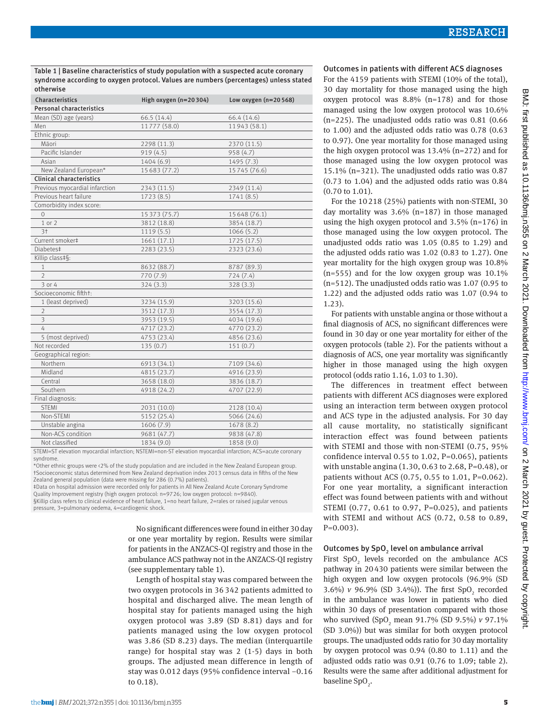Table 1 | Baseline characteristics of study population with a suspected acute coronary syndrome according to oxygen protocol. Values are numbers (percentages) unless stated otherwise

| Characteristics                 | High oxygen $(n=20304)$ | Low oxygen $(n=20 568)$ |  |  |
|---------------------------------|-------------------------|-------------------------|--|--|
| <b>Personal characteristics</b> |                         |                         |  |  |
| Mean (SD) age (years)           | 66.5 (14.4)             | 66.4 (14.6)             |  |  |
| Men                             | 11777 (58.0)            | 11943 (58.1)            |  |  |
| Ethnic group:                   |                         |                         |  |  |
| Māori                           | 2298 (11.3)             | 2370 (11.5)             |  |  |
| Pacific Islander                | 919(4.5)                | 958 (4.7)               |  |  |
| Asian                           | 1404 (6.9)              | 1495 (7.3)              |  |  |
| New Zealand European*           | 15683 (77.2)            | 15745 (76.6)            |  |  |
| <b>Clinical characteristics</b> |                         |                         |  |  |
| Previous myocardial infarction  | 2343 (11.5)             | 2349 (11.4)             |  |  |
| Previous heart failure          | 1723(8.5)               | 1741(8.5)               |  |  |
| Comorbidity index score:        |                         |                         |  |  |
| $\Omega$                        | 15 373 (75.7)           | 15 648 (76.1)           |  |  |
| 1 or 2                          | 3812 (18.8)             | 3854 (18.7)             |  |  |
| 3 <sup>†</sup>                  | 1119(5.5)               | 1066(5.2)               |  |  |
| Current smoker‡                 | 1661(17.1)              | 1725 (17.5)             |  |  |
| Diabetes‡                       | 2283 (23.5)             | 2323 (23.6)             |  |  |
| Killip class‡§:                 |                         |                         |  |  |
| $\mathbf{1}$                    | 8632 (88.7)             | 8787 (89.3)             |  |  |
| $\overline{2}$                  | 770 (7.9)               | 724(7.4)                |  |  |
| 3 or 4                          | 324(3.3)                | 328(3.3)                |  |  |
| Socioeconomic fiftht:           |                         |                         |  |  |
| 1 (least deprived)              | 3234 (15.9)             | 3203 (15.6)             |  |  |
| $\overline{2}$                  | 3512 (17.3)             | 3554 (17.3)             |  |  |
| $\overline{\mathbf{3}}$         | 3953 (19.5)             | 4034 (19.6)             |  |  |
| $\overline{4}$                  | 4717 (23.2)             | 4770 (23.2)             |  |  |
| 5 (most deprived)               | 4753 (23.4)             | 4856 (23.6)             |  |  |
| Not recorded                    | 135(0.7)                | 151(0.7)                |  |  |
| Geographical region:            |                         |                         |  |  |
| Northern                        | 6913 (34.1)             | 7109 (34.6)             |  |  |
| Midland                         | 4815 (23.7)             | 4916 (23.9)             |  |  |
| Central                         | 3658 (18.0)             | 3836 (18.7)             |  |  |
| Southern                        | 4918 (24.2)             | 4707 (22.9)             |  |  |
| Final diagnosis:                |                         |                         |  |  |
| <b>STEMI</b>                    | 2031 (10.0)             | 2128 (10.4)             |  |  |
| Non-STEMI                       | 5152 (25.4)             | 5066 (24.6)             |  |  |
| Unstable angina                 | 1606 (7.9)              | 1678 (8.2)              |  |  |
| Non-ACS condition               | 9681 (47.7)             | 9838 (47.8)             |  |  |
| Not classified                  | 1834 (9.0)              | 1858 (9.0)              |  |  |

STEMI=ST elevation myocardial infarction; NSTEMI=non-ST elevation myocardial infarction; ACS=acute coronary syndrome.

\*Other ethnic groups were <2% of the study population and are included in the New Zealand European group. †Socioeconomic status determined from New Zealand deprivation index 2013 census data in fifths of the New Zealand general population (data were missing for 286 (0.7%) patients).

‡Data on hospital admission were recorded only for patients in All New Zealand Acute Coronary Syndrome Quality Improvement registry (high oxygen protocol: n=9726; low oxygen protocol: n=9840).

§Killip class refers to clinical evidence of heart failure, 1=no heart failure, 2=rales or raised jugular venous pressure, 3=pulmonary oedema, 4=cardiogenic shock.

> No significant differences were found in either 30 day or one year mortality by region. Results were similar for patients in the ANZACS-QI registry and those in the ambulance ACS pathway not in the ANZACS-QI registry (see supplementary table 1).

> Length of hospital stay was compared between the two oxygen protocols in 36 342 patients admitted to hospital and discharged alive. The mean length of hospital stay for patients managed using the high oxygen protocol was 3.89 (SD 8.81) days and for patients managed using the low oxygen protocol was 3.86 (SD 8.23) days. The median (interquartile range) for hospital stay was 2 (1-5) days in both groups. The adjusted mean difference in length of stay was 0.012 days (95% confidence interval −0.16 to 0.18).

## Outcomes in patients with different ACS diagnoses

For the 4159 patients with STEMI (10% of the total), 30 day mortality for those managed using the high oxygen protocol was  $8.8\%$  (n=178) and for those managed using the low oxygen protocol was 10.6%  $(n=225)$ . The unadjusted odds ratio was 0.81 (0.66) to 1.00) and the adjusted odds ratio was 0.78 (0.63 to 0.97). One year mortality for those managed using the high oxygen protocol was 13.4% (n=272) and for those managed using the low oxygen protocol was 15.1% (n=321). The unadjusted odds ratio was 0.87 (0.73 to 1.04) and the adjusted odds ratio was 0.84 (0.70 to 1.01).

For the 10218 (25%) patients with non-STEMI, 30 day mortality was  $3.6\%$  (n=187) in those managed using the high oxygen protocol and 3.5% (n=176) in those managed using the low oxygen protocol. The unadjusted odds ratio was 1.05 (0.85 to 1.29) and the adjusted odds ratio was 1.02 (0.83 to 1.27). One year mortality for the high oxygen group was 10.8%  $(n=555)$  and for the low oxygen group was 10.1% (n=512). The unadjusted odds ratio was 1.07 (0.95 to 1.22) and the adjusted odds ratio was 1.07 (0.94 to 1.23).

For patients with unstable angina or those without a final diagnosis of ACS, no significant differences were found in 30 day or one year mortality for either of the oxygen protocols (table 2). For the patients without a diagnosis of ACS, one year mortality was significantly higher in those managed using the high oxygen protocol (odds ratio 1.16, 1.03 to 1.30).

The differences in treatment effect between patients with different ACS diagnoses were explored using an interaction term between oxygen protocol and ACS type in the adjusted analysis. For 30 day all cause mortality, no statistically significant interaction effect was found between patients with STEMI and those with non-STEMI (0.75, 95% confidence interval 0.55 to 1.02, P=0.065), patients with unstable angina (1.30, 0.63 to 2.68, P=0.48), or patients without ACS (0.75, 0.55 to 1.01, P=0.062). For one year mortality, a significant interaction effect was found between patients with and without STEMI (0.77, 0.61 to 0.97, P=0.025), and patients with STEMI and without ACS (0.72, 0.58 to 0.89, P=0.003).

## Outcomes by  $\mathsf{SpO}_2$  level on ambulance arrival

First  $SpO<sub>2</sub>$  levels recorded on the ambulance ACS pathway in 20430 patients were similar between the high oxygen and low oxygen protocols (96.9% (SD 3.6%)  $v$  96.9% (SD 3.4%)). The first SpO<sub>2</sub> recorded in the ambulance was lower in patients who died within 30 days of presentation compared with those who survived (SpO<sub>2</sub> mean 91.7% (SD 9.5%) *v* 97.1% (SD 3.0%)) but was similar for both oxygen protocol groups. The unadjusted odds ratio for 30 day mortality by oxygen protocol was 0.94 (0.80 to 1.11) and the adjusted odds ratio was 0.91 (0.76 to 1.09; table 2). Results were the same after additional adjustment for baseline Sp $O_2$ .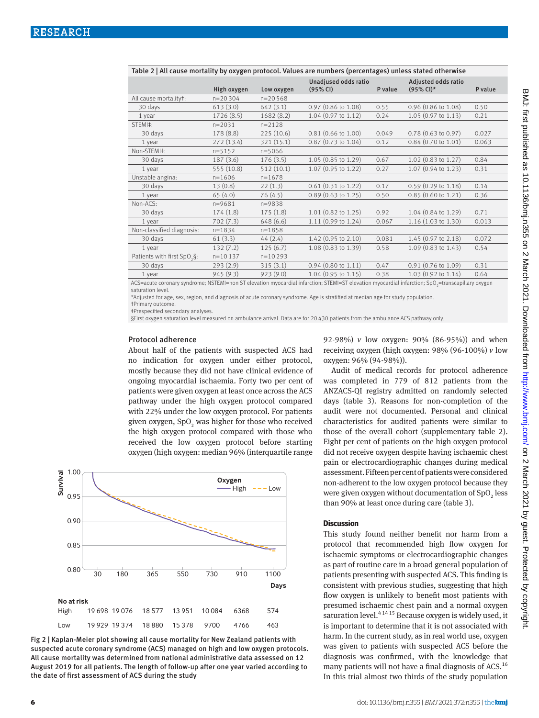| $-$ ,  caase mortanty ay ony you protocol. rata co are name or (porcemayed) amoso states<br>Unadjused odds ratio<br>Adjusted odds ratio          |             |            |                               |         |                               |         |  |
|--------------------------------------------------------------------------------------------------------------------------------------------------|-------------|------------|-------------------------------|---------|-------------------------------|---------|--|
|                                                                                                                                                  | High oxygen | Low oxygen | (95% CI)                      | P value | $(95\% \text{ Cl})^*$         | P value |  |
| All cause mortalityt:                                                                                                                            | $n=20304$   | $n=20568$  |                               |         |                               |         |  |
| 30 days                                                                                                                                          | 613(3.0)    | 642(3.1)   | $0.97$ (0.86 to 1.08)         | 0.55    | $0.96$ (0.86 to 1.08)         | 0.50    |  |
| 1 year                                                                                                                                           | 1726(8.5)   | 1682(8.2)  | $1.04$ (0.97 to 1.12)         | 0.24    | 1.05 (0.97 to 1.13)           | 0.21    |  |
| STFMI <sup>‡</sup> :                                                                                                                             | $n = 2031$  | $n = 2128$ |                               |         |                               |         |  |
| 30 days                                                                                                                                          | 178 (8.8)   | 225(10.6)  | $0.81$ (0.66 to 1.00)         | 0.049   | $0.78$ (0.63 to 0.97)         | 0.027   |  |
| 1 year                                                                                                                                           | 272(13.4)   | 321 (15.1) | $0.87$ (0.73 to 1.04)         | 0.12    | $0.84$ (0.70 to 1.01)         | 0.063   |  |
| Non-STEMI‡:                                                                                                                                      | $n = 5152$  | $n = 5066$ |                               |         |                               |         |  |
| 30 days                                                                                                                                          | 187(3.6)    | 176(3.5)   | $1.05(0.85 \text{ to } 1.29)$ | 0.67    | 1.02 (0.83 to 1.27)           | 0.84    |  |
| 1 year                                                                                                                                           | 555 (10.8)  | 512(10.1)  | 1.07 (0.95 to 1.22)           | 0.27    | 1.07 (0.94 to 1.23)           | 0.31    |  |
| Unstable angina:                                                                                                                                 | $n = 1606$  | $n = 1678$ |                               |         |                               |         |  |
| 30 days                                                                                                                                          | 13(0.8)     | 22(1.3)    | $0.61$ (0.31 to 1.22)         | 0.17    | $0.59$ (0.29 to 1.18)         | 0.14    |  |
| 1 year                                                                                                                                           | 65(4.0)     | 76(4.5)    | $0.89$ (0.63 to 1.25)         | 0.50    | $0.85$ (0.60 to 1.21)         | 0.36    |  |
| Non-ACS:                                                                                                                                         | $n = 9681$  | $n = 9838$ |                               |         |                               |         |  |
| 30 days                                                                                                                                          | 174(1.8)    | 175(1.8)   | 1.01 (0.82 to 1.25)           | 0.92    | 1.04 (0.84 to 1.29)           | 0.71    |  |
| 1 year                                                                                                                                           | 702(7.3)    | 648 (6.6)  | 1.11 (0.99 to 1.24)           | 0.067   | $1.16$ (1.03 to 1.30)         | 0.013   |  |
| Non-classified diagnosis:                                                                                                                        | $n = 1834$  | $n = 1858$ |                               |         |                               |         |  |
| 30 days                                                                                                                                          | 61(3.3)     | 44(2.4)    | $1.42$ (0.95 to 2.10)         | 0.081   | 1.45 (0.97 to 2.18)           | 0.072   |  |
| 1 year                                                                                                                                           | 132(7.2)    | 125(6.7)   | 1.08 (0.83 to 1.39)           | 0.58    | 1.09 (0.83 to 1.43)           | 0.54    |  |
| Patients with first SpO <sub>3</sub> S:                                                                                                          | $n = 10137$ | $n=10293$  |                               |         |                               |         |  |
| 30 days                                                                                                                                          | 293(2.9)    | 315(3.1)   | $0.94$ (0.80 to 1.11)         | 0.47    | $0.91$ (0.76 to 1.09)         | 0.31    |  |
| 1 year                                                                                                                                           | 945(9.3)    | 923(9.0)   | $1.04$ (0.95 to 1.15)         | 0.38    | $1.03(0.92 \text{ to } 1.14)$ | 0.64    |  |
| ACC-pouto coronary symptoms, NSTEMI-non ST playetian myseordial infarction, STEMI-ST playetian myseordial infarction, SnO -transcapillary exygen |             |            |                               |         |                               |         |  |

Table 2 | All cause mortality by oxygen protocol. Values are numbers (percentages) unless stated otherwise

ACS=acute coronary syndrome; NSTEMI=non ST elevation myocardial infarction; STEMI=ST elevation myocardial infarction; SpO<sub>2</sub>=transcapillary oxygen saturation level.

\*Adjusted for age, sex, region, and diagnosis of acute coronary syndrome. Age is stratified at median age for study population. †Primary outcome.

‡Prespecified secondary analyses.

§First oxygen saturation level measured on ambulance arrival. Data are for 20 430 patients from the ambulance ACS pathway only.

#### Protocol adherence

About half of the patients with suspected ACS had no indication for oxygen under either protocol, mostly because they did not have clinical evidence of ongoing myocardial ischaemia. Forty two per cent of patients were given oxygen at least once across the ACS pathway under the high oxygen protocol compared with 22% under the low oxygen protocol. For patients given oxygen, SpO<sub>2</sub> was higher for those who received the high oxygen protocol compared with those who received the low oxygen protocol before starting oxygen (high oxygen: median 96% (interquartile range



Fig 2 | Kaplan-Meier plot showing all cause mortality for New Zealand patients with suspected acute coronary syndrome (ACS) managed on high and low oxygen protocols. All cause mortality was determined from national administrative data assessed on 12 August 2019 for all patients. The length of follow-up after one year varied according to the date of first assessment of ACS during the study

92-98%) *v* low oxygen: 90% (86-95%)) and when receiving oxygen (high oxygen: 98% (96-100%) *v* low oxygen: 96% (94-98%)).

Audit of medical records for protocol adherence was completed in 779 of 812 patients from the ANZACS-QI registry admitted on randomly selected days (table 3). Reasons for non-completion of the audit were not documented. Personal and clinical characteristics for audited patients were similar to those of the overall cohort (supplementary table 2). Eight per cent of patients on the high oxygen protocol did not receive oxygen despite having ischaemic chest pain or electrocardiographic changes during medical assessment. Fifteen per cent of patients were considered non-adherent to the low oxygen protocol because they were given oxygen without documentation of  $\text{SpO}_2$  less than 90% at least once during care (table 3).

## **Discussion**

This study found neither benefit nor harm from a protocol that recommended high flow oxygen for ischaemic symptoms or electrocardiographic changes as part of routine care in a broad general population of patients presenting with suspected ACS. This finding is consistent with previous studies, suggesting that high flow oxygen is unlikely to benefit most patients with presumed ischaemic chest pain and a normal oxygen saturation level. $4^{14}$ <sup>15</sup> Because oxygen is widely used, it is important to determine that it is not associated with harm. In the current study, as in real world use, oxygen was given to patients with suspected ACS before the diagnosis was confirmed, with the knowledge that many patients will not have a final diagnosis of ACS.<sup>16</sup> In this trial almost two thirds of the study population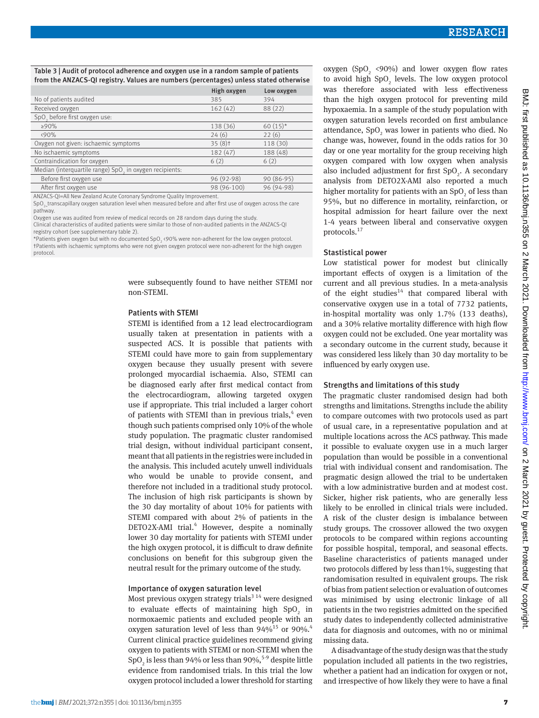## Table 3 | Audit of protocol adherence and oxygen use in a random sample of patients from the ANZACS-QI registry. Values are numbers (percentages) unless stated otherwise

|                                                                     | High oxygen | Low oxygen  |
|---------------------------------------------------------------------|-------------|-------------|
| No of patients audited                                              | 385         | 394         |
| Received oxygen                                                     | 162(42)     | 88 (22)     |
| SpO, before first oxygen use:                                       |             |             |
| $>90\%$                                                             | 138 (36)    | 60 $(15)^*$ |
| (90%                                                                | 24(6)       | 22(6)       |
| Oxygen not given: ischaemic symptoms                                | $35(8)$ t   | 118 (30)    |
| No ischaemic symptoms                                               | 182 (47)    | 188 (48)    |
| Contraindication for oxygen                                         | 6(2)        | 6(2)        |
| Median (interquartile range) SpO <sub>2</sub> in oxygen recipients: |             |             |
| Before first oxygen use                                             | 96 (92-98)  | $90(86-95)$ |
| After first oxygen use                                              | 98 (96-100) | 96 (94-98)  |
|                                                                     |             |             |

ANZACS-QI=All New Zealand Acute Coronary Syndrome Quality Improvement.

SpO<sub>2</sub> transcapillary oxygen saturation level when measured before and after first use of oxygen across the care pathway.

Oxygen use was audited from review of medical records on 28 random days during the study.

Clinical characteristics of audited patients were similar to those of non-audited patients in the ANZACS-QI registry cohort (see supplementary table 2).

\*Patients given oxygen but with no documented SpO<sub>3</sub> <90% were non-adherent for the low oxygen protocol. †Patients with ischaemic symptoms who were not given oxygen protocol were non-adherent for the high oxygen protocol.

> were subsequently found to have neither STEMI nor non-STEMI.

## Patients with STEMI

STEMI is identified from a 12 lead electrocardiogram usually taken at presentation in patients with a suspected ACS. It is possible that patients with STEMI could have more to gain from supplementary oxygen because they usually present with severe prolonged myocardial ischaemia. Also, STEMI can be diagnosed early after first medical contact from the electrocardiogram, allowing targeted oxygen use if appropriate. This trial included a larger cohort of patients with STEMI than in previous trials,<sup>4</sup> even though such patients comprised only 10% of the whole study population. The pragmatic cluster randomised trial design, without individual participant consent, meant that all patients in the registries were included in the analysis. This included acutely unwell individuals who would be unable to provide consent, and therefore not included in a traditional study protocol. The inclusion of high risk participants is shown by the 30 day mortality of about 10% for patients with STEMI compared with about 2% of patients in the DETO2X-AMI trial.<sup>4</sup> However, despite a nominally lower 30 day mortality for patients with STEMI under the high oxygen protocol, it is difficult to draw definite conclusions on benefit for this subgroup given the neutral result for the primary outcome of the study.

## Importance of oxygen saturation level

Most previous oxygen strategy trials<sup>3 14</sup> were designed to evaluate effects of maintaining high  $SpO<sub>2</sub>$  in normoxaemic patients and excluded people with an oxygen saturation level of less than  $94\%^{15}$  or  $90\%^{4}$ . Current clinical practice guidelines recommend giving oxygen to patients with STEMI or non-STEMI when the SpO<sub>2</sub> is less than 94% or less than 90%,<sup>5-9</sup> despite little evidence from randomised trials. In this trial the low oxygen protocol included a lower threshold for starting

oxygen (SpO<sub>2</sub> <90%) and lower oxygen flow rates to avoid high  $SpO<sub>2</sub>$  levels. The low oxygen protocol was therefore associated with less effectiveness than the high oxygen protocol for preventing mild hypoxaemia. In a sample of the study population with oxygen saturation levels recorded on first ambulance attendance,  $SpO<sub>2</sub>$  was lower in patients who died. No change was, however, found in the odds ratios for 30 day or one year mortality for the group receiving high oxygen compared with low oxygen when analysis also included adjustment for first  $SpO<sub>2</sub>$ . A secondary analysis from DETO2X-AMI also reported a much higher mortality for patients with an  $SpO<sub>2</sub>$  of less than 95%, but no difference in mortality, reinfarction, or hospital admission for heart failure over the next 1-4 years between liberal and conservative oxygen protocols.<sup>17</sup>

## Stastistical power

Low statistical power for modest but clinically important effects of oxygen is a limitation of the current and all previous studies. In a meta-analysis of the eight studies<sup>14</sup> that compared liberal with conservative oxygen use in a total of 7732 patients, in-hospital mortality was only 1.7% (133 deaths), and a 30% relative mortality difference with high flow oxygen could not be excluded. One year mortality was a secondary outcome in the current study, because it was considered less likely than 30 day mortality to be influenced by early oxygen use.

#### Strengths and limitations of this study

The pragmatic cluster randomised design had both strengths and limitations. Strengths include the ability to compare outcomes with two protocols used as part of usual care, in a representative population and at multiple locations across the ACS pathway. This made it possible to evaluate oxygen use in a much larger population than would be possible in a conventional trial with individual consent and randomisation. The pragmatic design allowed the trial to be undertaken with a low administrative burden and at modest cost. Sicker, higher risk patients, who are generally less likely to be enrolled in clinical trials were included. A risk of the cluster design is imbalance between study groups. The crossover allowed the two oxygen protocols to be compared within regions accounting for possible hospital, temporal, and seasonal effects. Baseline characteristics of patients managed under two protocols differed by less than1%, suggesting that randomisation resulted in equivalent groups. The risk of bias from patient selection or evaluation of outcomes was minimised by using electronic linkage of all patients in the two registries admitted on the specified study dates to independently collected administrative data for diagnosis and outcomes, with no or minimal missing data.

A disadvantage of the study design was that the study population included all patients in the two registries, whether a patient had an indication for oxygen or not, and irrespective of how likely they were to have a final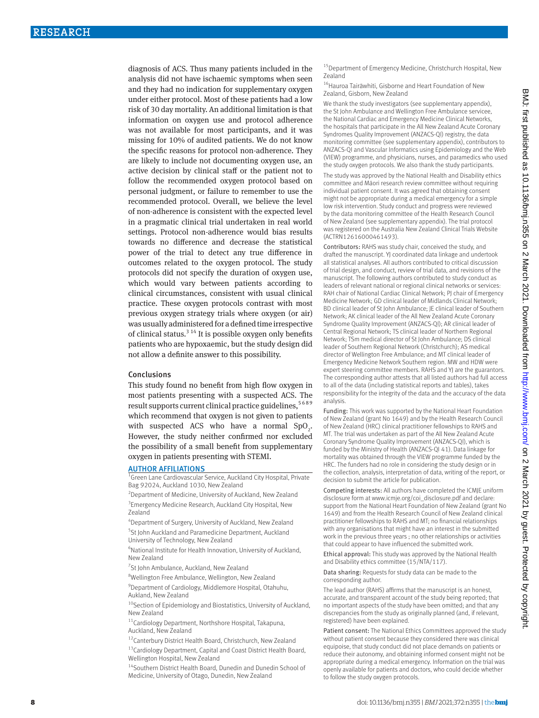diagnosis of ACS. Thus many patients included in the analysis did not have ischaemic symptoms when seen and they had no indication for supplementary oxygen under either protocol. Most of these patients had a low risk of 30 day mortality. An additional limitation is that information on oxygen use and protocol adherence was not available for most participants, and it was missing for 10% of audited patients. We do not know the specific reasons for protocol non-adherence. They are likely to include not documenting oxygen use, an active decision by clinical staff or the patient not to follow the recommended oxygen protocol based on personal judgment, or failure to remember to use the recommended protocol. Overall, we believe the level of non-adherence is consistent with the expected level in a pragmatic clinical trial undertaken in real world settings. Protocol non-adherence would bias results towards no difference and decrease the statistical power of the trial to detect any true difference in outcomes related to the oxygen protocol. The study protocols did not specify the duration of oxygen use, which would vary between patients according to clinical circumstances, consistent with usual clinical practice. These oxygen protocols contrast with most previous oxygen strategy trials where oxygen (or air) was usually administered for a defined time irrespective of clinical status.<sup>3 14</sup> It is possible oxygen only benefits patients who are hypoxaemic, but the study design did not allow a definite answer to this possibility.

#### Conclusions

This study found no benefit from high flow oxygen in most patients presenting with a suspected ACS. The result supports current clinical practice guidelines, 5689 which recommend that oxygen is not given to patients with suspected ACS who have a normal  $SpO<sub>2</sub>$ . However, the study neither confirmed nor excluded the possibility of a small benefit from supplementary oxygen in patients presenting with STEMI.

#### AUTHOR AFFILIATIONS

<sup>1</sup>Green Lane Cardiovascular Service, Auckland City Hospital, Private Bag 92024, Auckland 1030, New Zealand

<sup>2</sup> Department of Medicine, University of Auckland, New Zealand <sup>3</sup> Emergency Medicine Research, Auckland City Hospital, New Zealand

4 Department of Surgery, University of Auckland, New Zealand 5 St John Auckland and Paramedicine Department, Auckland University of Technology, New Zealand

6 National Institute for Health Innovation, University of Auckland, New Zealand

<sup>7</sup>St John Ambulance, Auckland, New Zealand

<sup>8</sup>Wellington Free Ambulance, Wellington, New Zealand

<sup>9</sup> Department of Cardiology, Middlemore Hospital, Otahuhu, Aukland, New Zealand

<sup>10</sup>Section of Epidemiology and Biostatistics, University of Auckland, New Zealand

11Cardiology Department, Northshore Hospital, Takapuna, Auckland, New Zealand

<sup>12</sup>Canterbury District Health Board, Christchurch, New Zealand 13 Cardiology Department, Capital and Coast District Health Board, Wellington Hospital, New Zealand

<sup>14</sup>Southern District Health Board, Dunedin and Dunedin School of Medicine, University of Otago, Dunedin, New Zealand

<sup>15</sup> Department of Emergency Medicine, Christchurch Hospital, New Zealand

<sup>16</sup> Hauroa Tairāwhiti, Gisborne and Heart Foundation of New Zealand, Gisborn, New Zealand

We thank the study investigators (see supplementary appendix), the St John Ambulance and Wellington Free Ambulance servicee, the National Cardiac and Emergency Medicine Clinical Networks, the hospitals that participate in the All New Zealand Acute Coronary Syndromes Quality Improvement (ANZACS-QI) registry, the data monitoring committee (see supplementary appendix), contributors to ANZACS-QI and Vascular Informatics using Epidemiology and the Web (VIEW) programme, and physicians, nurses, and paramedics who used the study oxygen protocols. We also thank the study participants.

The study was approved by the National Health and Disability ethics committee and Māori research review committee without requiring individual patient consent. It was agreed that obtaining consent might not be appropriate during a medical emergency for a simple low risk intervention. Study conduct and progress were reviewed by the data monitoring committee of the Health Research Council of New Zealand (see supplementary appendix). The trial protocol was registered on the Australia New Zealand Clinical Trials Website (ACTRN12616000461493).

Contributors: RAHS was study chair, conceived the study, and drafted the manuscript. YJ coordinated data linkage and undertook all statistical analyses. All authors contributed to critical discussion of trial design, and conduct, review of trial data, and revisions of the manuscript. The following authors contributed to study conduct as leaders of relevant national or regional clinical networks or services: RAH chair of National Cardiac Clinical Network: PJ chair of Emergency Medicine Network; GD clinical leader of Midlands Clinical Network; BD clinical leader of St John Ambulance; JE clinical leader of Southern Network; AK clinical leader of the All New Zealand Acute Coronary Syndrome Quality Improvement (ANZACS-QI); AR clinical leader of Central Regional Network; TS clinical leader of Northern Regional Network; TSm medical director of St John Ambulance; DS clinical leader of Southern Regional Network (Christchurch); AS medical director of Wellington Free Ambulance; and MT clinical leader of Emergency Medicine Network Southern region. MW and HDW were expert steering committee members. RAHS and YJ are the guarantors. The corresponding author attests that all listed authors had full access to all of the data (including statistical reports and tables), takes responsibility for the integrity of the data and the accuracy of the data analysis.

Funding: This work was supported by the National Heart Foundation of New Zealand (grant No 1649) and by the Health Research Council of New Zealand (HRC) clinical practitioner fellowships to RAHS and MT. The trial was undertaken as part of the All New Zealand Acute Coronary Syndrome Quality Improvement (ANZACS-QI), which is funded by the Ministry of Health (ANZACS-QI 41). Data linkage for mortality was obtained through the VIEW programme funded by the HRC. The funders had no role in considering the study design or in the collection, analysis, interpretation of data, writing of the report, or decision to submit the article for publication.

Competing interests: All authors have completed the ICMJE uniform disclosure form at [www.icmje.org/coi\\_disclosure.pdf](http://www.icmje.org/coi_disclosure.pdf) and declare: support from the National Heart Foundation of New Zealand (grant No 1649) and from the Health Research Council of New Zealand clinical practitioner fellowships to RAHS and MT; no financial relationships with any organisations that might have an interest in the submitted work in the previous three years ; no other relationships or activities that could appear to have influenced the submitted work.

Ethical approval: This study was approved by the National Health and Disability ethics committee (15/NTA/117).

Data sharing: Requests for study data can be made to the corresponding author.

The lead author (RAHS) affirms that the manuscript is an honest, accurate, and transparent account of the study being reported; that no important aspects of the study have been omitted; and that any discrepancies from the study as originally planned (and, if relevant, registered) have been explained.

Patient consent: The National Ethics Committees approved the study without patient consent because they considered there was clinical equipoise, that study conduct did not place demands on patients or reduce their autonomy, and obtaining informed consent might not be appropriate during a medical emergency. Information on the trial was openly available for patients and doctors, who could decide whether to follow the study oxygen protocols.